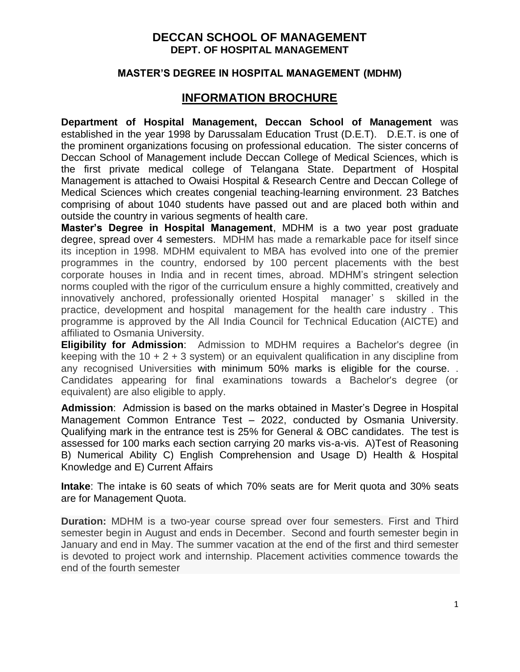## **DECCAN SCHOOL OF MANAGEMENT DEPT. OF HOSPITAL MANAGEMENT**

## **MASTER'S DEGREE IN HOSPITAL MANAGEMENT (MDHM)**

# **INFORMATION BROCHURE**

**Department of Hospital Management, Deccan School of Management** was established in the year 1998 by Darussalam Education Trust (D.E.T). D.E.T. is one of the prominent organizations focusing on professional education. The sister concerns of Deccan School of Management include Deccan College of Medical Sciences, which is the first private medical college of Telangana State. Department of Hospital Management is attached to Owaisi Hospital & Research Centre and Deccan College of Medical Sciences which creates congenial teaching-learning environment. 23 Batches comprising of about 1040 students have passed out and are placed both within and outside the country in various segments of health care.

**Master's Degree in Hospital Management**, MDHM is a two year post graduate degree, spread over 4 semesters. MDHM has made a remarkable pace for itself since its inception in 1998. MDHM equivalent to MBA has evolved into one of the premier programmes in the country, endorsed by 100 percent placements with the best corporate houses in India and in recent times, abroad. MDHM's stringent selection norms coupled with the rigor of the curriculum ensure a highly committed, creatively and innovatively anchored, professionally oriented Hospital manager' s skilled in the practice, development and hospital management for the health care industry . This programme is approved by the All India Council for Technical Education (AICTE) and affiliated to Osmania University.

**Eligibility for Admission**: Admission to MDHM requires a Bachelor's degree (in keeping with the 10  $+ 2 + 3$  system) or an equivalent qualification in any discipline from any recognised Universities with minimum 50% marks is eligible for the course. . Candidates appearing for final examinations towards a Bachelor's degree (or equivalent) are also eligible to apply.

**Admission**: Admission is based on the marks obtained in Master's Degree in Hospital Management Common Entrance Test – 2022, conducted by Osmania University. Qualifying mark in the entrance test is 25% for General & OBC candidates. The test is assessed for 100 marks each section carrying 20 marks vis-a-vis. A)Test of Reasoning B) Numerical Ability C) English Comprehension and Usage D) Health & Hospital Knowledge and E) Current Affairs

**Intake**: The intake is 60 seats of which 70% seats are for Merit quota and 30% seats are for Management Quota.

**Duration:** MDHM is a two-year course spread over four semesters. First and Third semester begin in August and ends in December. Second and fourth semester begin in January and end in May. The summer vacation at the end of the first and third semester is devoted to project work and internship. Placement activities commence towards the end of the fourth semester